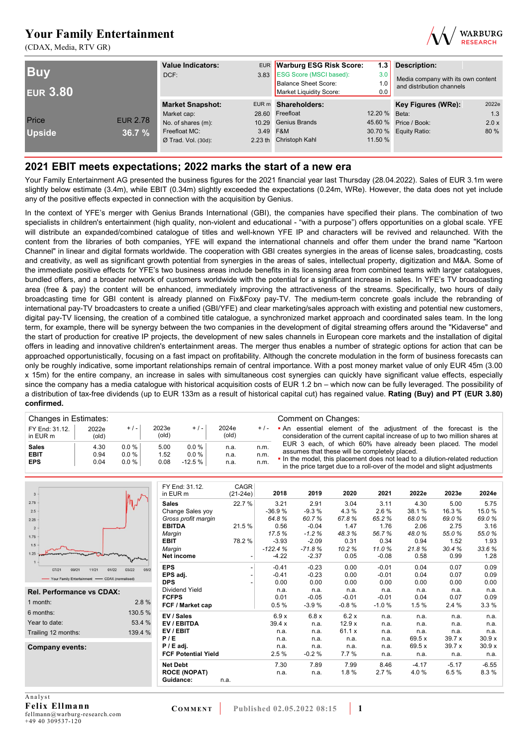(CDAX, Media, RTV GR)



| <b>Buy</b><br><b>EUR 3.80</b> |                 | <b>Value Indicators:</b><br>DCF: | EUR Warburg ESG Risk Score:<br>3.83 ESG Score (MSCI based):<br><b>Balance Sheet Score:</b><br>Market Liquidity Score: | 3.0<br>1.0<br>0.0 | 1.3 Description:<br>Media company with its own content<br>and distribution channels |       |
|-------------------------------|-----------------|----------------------------------|-----------------------------------------------------------------------------------------------------------------------|-------------------|-------------------------------------------------------------------------------------|-------|
|                               |                 | <b>Market Snapshot:</b>          | EUR m Shareholders:                                                                                                   |                   | Key Figures (WRe):                                                                  | 2022e |
|                               |                 | Market cap:                      | 28.60 Freefloat                                                                                                       | 12.20 % Beta:     |                                                                                     | 1.3   |
| Price                         | <b>EUR 2.78</b> | No. of shares (m):               | 10.29 Genius Brands                                                                                                   |                   | 45.60 % Price / Book:                                                               | 2.0 x |
| <b>Upside</b>                 | 36.7 %          | Freefloat MC:                    | 3.49 F&M                                                                                                              |                   | 30.70 % Equity Ratio:                                                               | 80 %  |
|                               |                 | $Ø$ Trad. Vol. (30d):            | 2.23 th Christoph Kahl                                                                                                | 11.50 %           |                                                                                     |       |

### **2021 EBIT meets expectations; 2022 marks the start of a new era**

Your Family Entertainment AG presented the business figures for the 2021 financial year last Thursday (28.04.2022). Sales of EUR 3.1m were slightly below estimate (3.4m), while EBIT (0.34m) slightly exceeded the expectations (0.24m, WRe). However, the data does not yet include any of the positive effects expected in connection with the acquisition by Genius.

In the context of YFE's merger with Genius Brands International (GBI), the companies have specified their plans. The combination of two specialists in children's entertainment (high quality, non-violent and educational - "with a purpose") offers opportunities on a global scale. YFE will distribute an expanded/combined catalogue of titles and well-known YFE IP and characters will be revived and relaunched. With the content from the libraries of both companies, YFE will expand the international channels and offer them under the brand name "Kartoon Channel" in linear and digital formats worldwide. The cooperation with GBI creates synergies in the areas of license sales, broadcasting, costs and creativity, as well as significant growth potential from synergies in the areas of sales, intellectual property, digitization and M&A. Some of the immediate positive effects for YFE's two business areas include benefits in its licensing area from combined teams with larger catalogues, bundled offers, and a broader network of customers worldwide with the potential for a significant increase in sales. In YFE's TV broadcasting area (free & pay) the content will be enhanced, immediately improving the attractiveness of the streams. Specifically, two hours of daily broadcasting time for GBI content is already planned on Fix&Foxy pay-TV. The medium-term concrete goals include the rebranding of international pay-TV broadcasters to create a unified (GBI/YFE) and clear marketing/sales approach with existing and potential new customers, digital pay-TV licensing, the creation of a combined title catalogue, a synchronized market approach and coordinated sales team. In the long term, for example, there will be synergy between the two companies in the development of digital streaming offers around the "Kidaverse" and the start of production for creative IP projects, the development of new sales channels in European core markets and the installation of digital offers in leading and innovative children's entertainment areas. The merger thus enables a number of strategic options for action that can be approached opportunistically, focusing on a fast impact on profitability. Although the concrete modulation in the form of business forecasts can only be roughly indicative, some important relationships remain of central importance. With a post money market value of only EUR 45m (3.00 x 15m) for the entire company, an increase in sales with simultaneous cost synergies can quickly have significant value effects, especially since the company has a media catalogue with historical acquisition costs of EUR 1.2 bn – which now can be fully leveraged. The possibility of a distribution of tax-free dividends (up to EUR 133m as a result of historical capital cut) has regained value. **Rating (Buy) and PT (EUR 3.80) confirmed.**

| Changes in Estimates:      |                |          |                |           |                |         | Comment on Changes:                                                                                                                             |  |  |  |  |  |  |
|----------------------------|----------------|----------|----------------|-----------|----------------|---------|-------------------------------------------------------------------------------------------------------------------------------------------------|--|--|--|--|--|--|
| FY End: 31.12.<br>in EUR m | 2022e<br>(old) | $+/-$    | 2023e<br>(old) | $+$ / $-$ | 2024e<br>(old) | $+$ / - | • An essential element of the adjustment of the forecast is the<br>consideration of the current capital increase of up to two million shares at |  |  |  |  |  |  |
| <b>Sales</b>               | 4.30           | $0.0 \%$ | 5.00           | $0.0 \%$  | n.a.           | n.m.    | EUR 3 each, of which 60% have already been placed. The model<br>assumes that these will be completely placed.                                   |  |  |  |  |  |  |
| <b>EBIT</b>                | 0.94           | $0.0 \%$ | 1.52           | $0.0 \%$  | n.a.           | n.m.    | In the model, this placement does not lead to a dilution-related reduction                                                                      |  |  |  |  |  |  |
| <b>EPS</b>                 | 0.04           | $0.0 \%$ | 0.08           | $-12.5%$  | n.a.           | n.m.    | in the price target due to a roll-over of the model and slight adjustments                                                                      |  |  |  |  |  |  |

| $\overline{3}$                                  |                        | FY End: 31.12.<br>in EUR m | CAGR<br>$(21-24e)$ | 2018      | 2019     | 2020    | 2021    | 2022e   | 2023e   | 2024e   |
|-------------------------------------------------|------------------------|----------------------------|--------------------|-----------|----------|---------|---------|---------|---------|---------|
| 2.75                                            |                        | <b>Sales</b>               | 22.7 %             | 3.21      | 2.91     | 3.04    | 3.11    | 4.30    | 5.00    | 5.75    |
| 2.5                                             |                        | Change Sales yoy           |                    | $-36.9%$  | $-9.3%$  | 4.3%    | 2.6%    | 38.1%   | 16.3%   | 15.0%   |
| 2.25                                            |                        | Gross profit margin        |                    | 64.8%     | 60.7%    | 67.8%   | 65.2%   | 68.0%   | 69.0%   | 69.0%   |
| $\overline{2}$                                  |                        | <b>EBITDA</b>              | 21.5%              | 0.56      | $-0.04$  | 1.47    | 1.76    | 2.06    | 2.75    | 3.16    |
| 1.75                                            |                        | Margin                     |                    | 17.5%     | $-1.2%$  | 48.3%   | 56.7%   | 48.0%   | 55.0%   | 55.0%   |
| 1.5                                             |                        | <b>EBIT</b>                | 78.2%              | $-3.93$   | $-2.09$  | 0.31    | 0.34    | 0.94    | 1.52    | 1.93    |
|                                                 |                        | Margin                     |                    | $-122.4%$ | $-71.8%$ | 10.2%   | 11.0%   | 21.8%   | 30.4%   | 33.6%   |
| 1.25                                            |                        | Net income                 |                    | $-4.22$   | $-2.37$  | 0.05    | $-0.08$ | 0.58    | 0.99    | 1.28    |
| 09/21<br>11/21<br>07/21                         | 01/22<br>03/22<br>05/2 | <b>EPS</b>                 |                    | $-0.41$   | $-0.23$  | 0.00    | $-0.01$ | 0.04    | 0.07    | 0.09    |
| - Your Family Entertainment - CDAX (normalised) |                        | EPS adj.                   |                    | $-0.41$   | $-0.23$  | 0.00    | $-0.01$ | 0.04    | 0.07    | 0.09    |
|                                                 |                        | <b>DPS</b>                 |                    | 0.00      | 0.00     | 0.00    | 0.00    | 0.00    | 0.00    | 0.00    |
| <b>Rel. Performance vs CDAX:</b>                |                        | Dividend Yield             |                    | n.a.      | n.a.     | n.a.    | n.a.    | n.a.    | n.a.    | n.a.    |
|                                                 |                        | <b>FCFPS</b>               |                    | 0.01      | $-0.05$  | $-0.01$ | $-0.01$ | 0.04    | 0.07    | 0.09    |
| 1 month:                                        | 2.8%                   | FCF / Market cap           |                    | 0.5%      | $-3.9%$  | $-0.8%$ | $-1.0%$ | 1.5%    | 2.4 %   | 3.3%    |
| 6 months:                                       | 130.5 %                | EV / Sales                 |                    | 6.9x      | 6.8x     | 6.2x    | n.a.    | n.a.    | n.a.    | n.a.    |
| Year to date:                                   | 53.4 %                 | EV / EBITDA                |                    | 39.4x     | n.a.     | 12.9x   | n.a.    | n.a.    | n.a.    | n.a.    |
| Trailing 12 months:                             | 139.4 %                | EV / EBIT                  |                    | n.a.      | n.a.     | 61.1x   | n.a.    | n.a.    | n.a.    | n.a.    |
|                                                 |                        | P/E                        |                    | n.a.      | n.a.     | n.a.    | n.a.    | 69.5 x  | 39.7x   | 30.9x   |
| Company events:                                 |                        | $P / E$ adj.               |                    | n.a.      | n.a.     | n.a.    | n.a.    | 69.5x   | 39.7x   | 30.9x   |
|                                                 |                        | <b>FCF Potential Yield</b> |                    | 2.5%      | $-0.2%$  | 7.7%    | n.a.    | n.a.    | n.a.    | n.a.    |
|                                                 |                        | <b>Net Debt</b>            |                    | 7.30      | 7.89     | 7.99    | 8.46    | $-4.17$ | $-5.17$ | $-6.55$ |
|                                                 |                        | <b>ROCE (NOPAT)</b>        |                    | n.a.      | n.a.     | 1.8%    | 2.7%    | 4.0%    | 6.5%    | 8.3%    |
|                                                 |                        | Guidance:                  | n.a.               |           |          |         |         |         |         |         |
|                                                 |                        |                            |                    |           |          |         |         |         |         |         |
|                                                 |                        |                            |                    |           |          |         |         |         |         |         |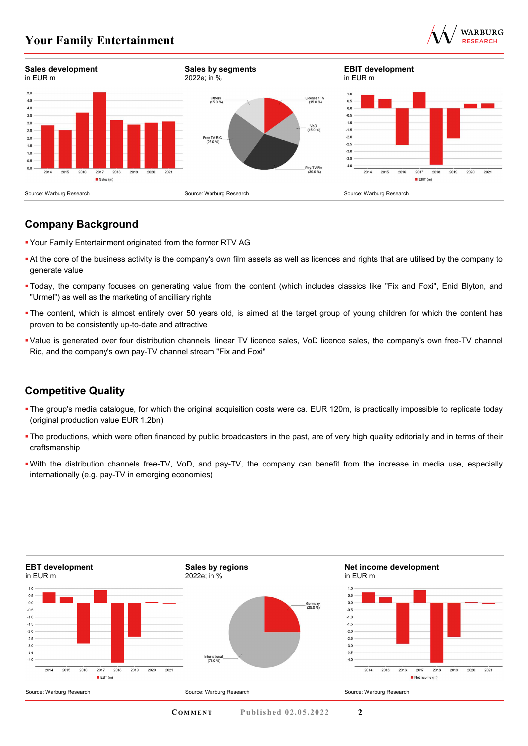



## **Company Background**

- Your Family Entertainment originated from the former RTV AG
- At the core of the business activity is the company's own film assets as well as licences and rights that are utilised by the company to generate value
- Today, the company focuses on generating value from the content (which includes classics like "Fix and Foxi", Enid Blyton, and "Urmel") as well as the marketing of ancilliary rights
- The content, which is almost entirely over 50 years old, is aimed at the target group of young children for which the content has proven to be consistently up-to-date and attractive
- Value is generated over four distribution channels: linear TV licence sales, VoD licence sales, the company's own free-TV channel Ric, and the company's own pay-TV channel stream "Fix and Foxi"

# **Competitive Quality**

- The group's media catalogue, for which the original acquisition costs were ca. EUR 120m, is practically impossible to replicate today (original production value EUR 1.2bn)
- The productions, which were often financed by public broadcasters in the past, are of very high quality editorially and in terms of their craftsmanship
- With the distribution channels free-TV, VoD, and pay-TV, the company can benefit from the increase in media use, especially internationally (e.g. pay-TV in emerging economies)

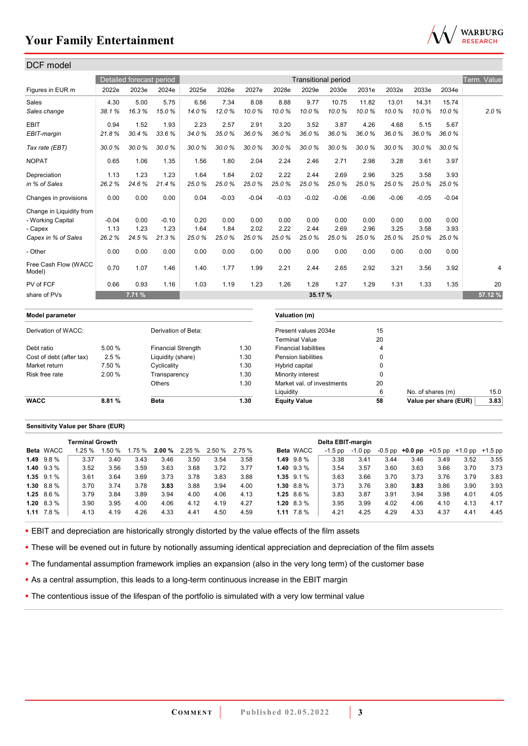

| <b>DCF</b> model                                         |                          |                          |                           |                       |                       |                       |                       |                                               |                            |                       |                       |                       |                       |             |
|----------------------------------------------------------|--------------------------|--------------------------|---------------------------|-----------------------|-----------------------|-----------------------|-----------------------|-----------------------------------------------|----------------------------|-----------------------|-----------------------|-----------------------|-----------------------|-------------|
|                                                          |                          | Detailed forecast period |                           |                       |                       |                       |                       |                                               | <b>Transitional period</b> |                       |                       |                       |                       | Term. Value |
| Figures in EUR m                                         | 2022e                    | 2023e                    | 2024e                     | 2025e                 | 2026e                 | 2027e                 | 2028e                 | 2029e                                         | 2030e                      | 2031e                 | 2032e                 | 2033e                 | 2034e                 |             |
| Sales<br>Sales change                                    | 4.30<br>38.1%            | 5.00<br>16.3%            | 5.75<br>15.0%             | 6.56<br>14.0%         | 7.34<br>12.0%         | 8.08<br>10.0%         | 8.88<br>10.0%         | 9.77<br>10.0%                                 | 10.75<br>10.0%             | 11.82<br>10.0%        | 13.01<br>10.0%        | 14.31<br>10.0%        | 15.74<br>10.0%        | 2.0%        |
| <b>EBIT</b><br>EBIT-margin                               | 0.94<br>21.8%            | 1.52<br>30.4%            | 1.93<br>33.6%             | 2.23<br>34.0%         | 2.57<br>35.0%         | 2.91<br>36.0%         | 3.20<br>36.0%         | 3.52<br>36.0%                                 | 3.87<br>36.0%              | 4.26<br>36.0%         | 4.68<br>36.0%         | 5.15<br>36.0%         | 5.67<br>36.0%         |             |
| Tax rate (EBT)                                           | 30.0%                    | 30.0%                    | 30.0%                     | 30.0%                 | 30.0%                 | 30.0%                 | 30.0%                 | 30.0%                                         | 30.0%                      | 30.0%                 | 30.0%                 | 30.0%                 | 30.0%                 |             |
| <b>NOPAT</b>                                             | 0.65                     | 1.06                     | 1.35                      | 1.56                  | 1.80                  | 2.04                  | 2.24                  | 2.46                                          | 2.71                       | 2.98                  | 3.28                  | 3.61                  | 3.97                  |             |
| Depreciation<br>in % of Sales                            | 1.13<br>26.2%            | 1.23<br>24.6%            | 1.23<br>21.4%             | 1.64<br>25.0%         | 1.84<br>25.0%         | 2.02<br>25.0%         | 2.22<br>25.0%         | 2.44<br>25.0%                                 | 2.69<br>25.0%              | 2.96<br>25.0%         | 3.25<br>25.0%         | 3.58<br>25.0%         | 3.93<br>25.0%         |             |
| Changes in provisions                                    | 0.00                     | 0.00                     | 0.00                      | 0.04                  | $-0.03$               | $-0.04$               | $-0.03$               | $-0.02$                                       | $-0.06$                    | $-0.06$               | $-0.06$               | $-0.05$               | $-0.04$               |             |
| Change in Liquidity from<br>- Working Capital<br>- Capex | $-0.04$<br>1.13<br>26.2% | 0.00<br>1.23<br>24.5%    | $-0.10$<br>1.23<br>21.3%  | 0.20<br>1.64<br>25.0% | 0.00<br>1.84<br>25.0% | 0.00<br>2.02<br>25.0% | 0.00<br>2.22<br>25.0% | 0.00<br>2.44<br>25.0%                         | 0.00<br>2.69<br>25.0%      | 0.00<br>2.96<br>25.0% | 0.00<br>3.25<br>25.0% | 0.00<br>3.58<br>25.0% | 0.00<br>3.93<br>25.0% |             |
| Capex in % of Sales<br>- Other                           | 0.00                     | 0.00                     | 0.00                      | 0.00                  | 0.00                  | 0.00                  | 0.00                  | 0.00                                          | 0.00                       | 0.00                  | 0.00                  | 0.00                  | 0.00                  |             |
| Free Cash Flow (WACC<br>Model)                           | 0.70                     | 1.07                     | 1.46                      | 1.40                  | 1.77                  | 1.99                  | 2.21                  | 2.44                                          | 2.65                       | 2.92                  | 3.21                  | 3.56                  | 3.92                  | 4           |
| PV of FCF                                                | 0.66                     | 0.93                     | 1.16                      | 1.03                  | 1.19                  | 1.23                  | 1.26                  | 1.28                                          | 1.27                       | 1.29                  | 1.31                  | 1.33                  | 1.35                  | 20          |
| share of PVs                                             |                          | 7.71 %                   |                           |                       |                       |                       |                       | 35.17 %                                       |                            |                       |                       |                       |                       | 57.12 %     |
| Model parameter                                          |                          |                          |                           |                       |                       |                       |                       | Valuation (m)                                 |                            |                       |                       |                       |                       |             |
| Derivation of WACC:                                      |                          |                          | Derivation of Beta:       |                       |                       |                       |                       | Present values 2034e<br><b>Terminal Value</b> |                            |                       | 15<br>20              |                       |                       |             |
| Debt ratio                                               | 5.00 %                   |                          | <b>Financial Strength</b> |                       |                       | 1.30                  |                       | <b>Financial liabilities</b>                  |                            |                       | 4                     |                       |                       |             |
| Cost of debt (after tax)                                 | 2.5%                     |                          | Liquidity (share)         |                       |                       | 1.30                  |                       | <b>Pension liabilities</b>                    |                            |                       | $\mathbf 0$           |                       |                       |             |
| Market return                                            | 7.50 %                   |                          | Cyclicality               |                       |                       | 1.30                  | Hybrid capital        |                                               |                            |                       | $\mathbf 0$           |                       |                       |             |
| Risk free rate                                           | 2.00 %                   |                          | Transparency              |                       |                       | 1.30                  |                       | Minority interest                             |                            |                       | $\Omega$              |                       |                       |             |
|                                                          |                          |                          | <b>Others</b>             |                       |                       | 1.30                  |                       | Market val. of investments                    |                            |                       | 20                    |                       |                       |             |
|                                                          |                          |                          |                           |                       |                       |                       | Liquidity             |                                               |                            |                       | 6                     | No. of shares (m)     |                       | 15.0        |
| <b>WACC</b>                                              | 8.81%                    |                          | <b>Beta</b>               |                       |                       | 1.30                  | <b>Equity Value</b>   |                                               |                            |                       | 58                    |                       | Value per share (EUR) | 3.83        |
|                                                          |                          |                          |                           |                       |                       |                       |                       |                                               |                            |                       |                       |                       |                       |             |

#### **Sensitivity Value per Share (EUR)**

|                   | <b>Terminal Growth</b> |          |        |                      |      |        |       |                |                  | Delta EBIT-margin |         |      |      |      |                                                   |      |
|-------------------|------------------------|----------|--------|----------------------|------|--------|-------|----------------|------------------|-------------------|---------|------|------|------|---------------------------------------------------|------|
| <b>Beta WACC</b>  | $1.25 \%$              | $.50 \%$ | 1.75 % | <b>2.00 %</b> 2.25 % |      | 2.50 % | 2.75% |                | <b>Beta WACC</b> | -1.5 pp           | -1.0 pp |      |      |      | $-0.5$ pp $+0.0$ pp $+0.5$ pp $+1.0$ pp $+1.5$ pp |      |
| 1.49 9.8 %        | 3.37                   | 3.40     | 3.43   | 3.46                 | 3.50 | 3.54   | 3.58  | $1.49$ $9.8%$  |                  | 3.38              | 3.41    | 3.44 | 3.46 | 3.49 | 3.52                                              | 3.55 |
| 1.40 $9.3\%$      | 3.52                   | 3.56     | 3.59   | 3.63                 | 3.68 | 3.72   | 3.77  | $1.40\ 9.3\%$  |                  | 3.54              | 3.57    | 3.60 | 3.63 | 3.66 | 3.70                                              | 3.73 |
| $1.35$ $9.1\%$    | 3.61                   | 3.64     | 3.69   | 3.73                 | 3.78 | 3.83   | 3.88  | $1.35$ $9.1\%$ |                  | 3.63              | 3.66    | 3.70 | 3.73 | 3.76 | 3.79                                              | 3.83 |
| $1.30\quad 8.8\%$ | 3.70                   | 3.74     | 3.78   | 3.83                 | 3.88 | 3.94   | 4.00  | $1.30\ 8.8\%$  |                  | 3.73              | 3.76    | 3.80 | 3.83 | 3.86 | 3.90                                              | 3.93 |
| $1.25$ 8.6 %      | 3.79                   | 3.84     | 3.89   | 3.94                 | 4.00 | 4.06   | 4.13  | 1.25 $8.6\%$   |                  | 3.83              | 3.87    | 3.91 | 3.94 | 3.98 | 4.01                                              | 4.05 |
| $1.20\quad 8.3\%$ | 3.90                   | 3.95     | 4.00   | 4.06                 | 4.12 | 4.19   | 4.27  | 1.20 $8.3\%$   |                  | 3.95              | 3.99    | 4.02 | 4.06 | 4.10 | 4.13                                              | 4.17 |
| $1.11$ $7.8\%$    | 4.13                   | 4.19     | 4.26   | 4.33                 | 4.41 | 4.50   | 4.59  | 1.11           | 7.8%             | 4.21              | 4.25    | 4.29 | 4.33 | 4.37 | 4.41                                              | 4.45 |

**EBIT** and depreciation are historically strongly distorted by the value effects of the film assets

**These will be evened out in future by notionally assuming identical appreciation and depreciation of the film assets** 

The fundamental assumption framework implies an expansion (also in the very long term) of the customer base

As a central assumption, this leads to a long-term continuous increase in the EBIT margin

• The contentious issue of the lifespan of the portfolio is simulated with a very low terminal value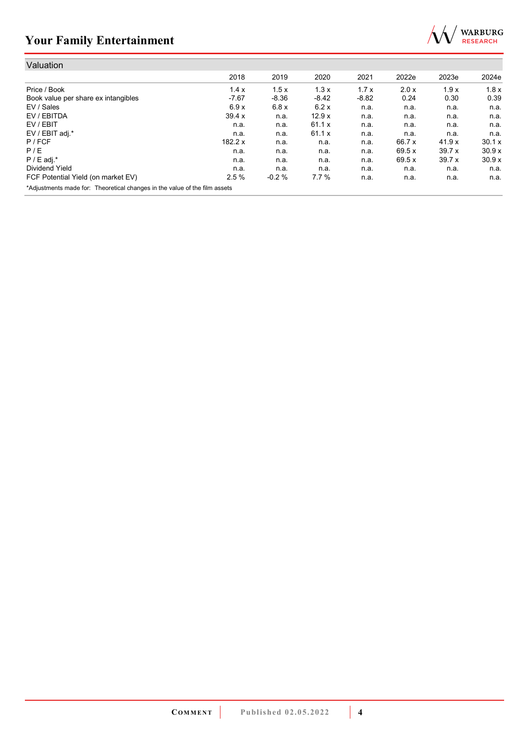

| Valuation                                                                  |           |         |         |         |        |       |        |
|----------------------------------------------------------------------------|-----------|---------|---------|---------|--------|-------|--------|
|                                                                            | 2018      | 2019    | 2020    | 2021    | 2022e  | 2023e | 2024e  |
| Price / Book                                                               | 1.4x      | 1.5x    | 1.3x    | 1.7x    | 2.0 x  | 1.9x  | 1.8x   |
| Book value per share ex intangibles                                        | $-7.67$   | $-8.36$ | $-8.42$ | $-8.82$ | 0.24   | 0.30  | 0.39   |
| EV / Sales                                                                 | 6.9x      | 6.8x    | 6.2x    | n.a.    | n.a.   | n.a.  | n.a.   |
| EV / EBITDA                                                                | 39.4 x    | n.a.    | 12.9x   | n.a.    | n.a.   | n.a.  | n.a.   |
| EV / EBIT                                                                  | n.a.      | n.a.    | 61.1 x  | n.a.    | n.a.   | n.a.  | n.a.   |
| EV / EBIT adj.*                                                            | n.a.      | n.a.    | 61.1 x  | n.a.    | n.a.   | n.a.  | n.a.   |
| P / FCF                                                                    | 182.2 $x$ | n.a.    | n.a.    | n.a.    | 66.7 x | 41.9x | 30.1 x |
| P/E                                                                        | n.a.      | n.a.    | n.a.    | n.a.    | 69.5 x | 39.7x | 30.9x  |
| $P / E$ adj.*                                                              | n.a.      | n.a.    | n.a.    | n.a.    | 69.5 x | 39.7x | 30.9x  |
| Dividend Yield                                                             | n.a.      | n.a.    | n.a.    | n.a.    | n.a.   | n.a.  | n.a.   |
| FCF Potential Yield (on market EV)                                         | 2.5%      | $-0.2%$ | 7.7%    | n.a.    | n.a.   | n.a.  | n.a.   |
| *Adjustments made for: Theoretical changes in the value of the film assets |           |         |         |         |        |       |        |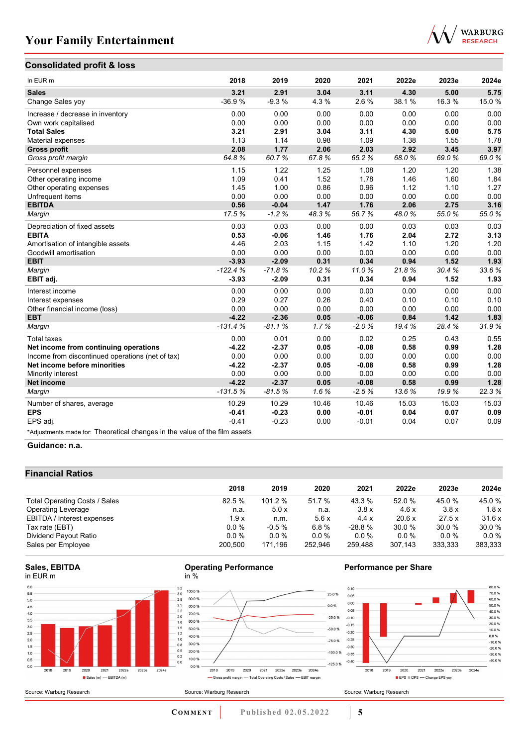# WARBURG<br>RESEARCH

### **Consolidated profit & loss**

| In EUR m                                                                   | 2018      | 2019     | 2020  | 2021    | 2022e  | 2023e | 2024e |
|----------------------------------------------------------------------------|-----------|----------|-------|---------|--------|-------|-------|
| <b>Sales</b>                                                               | 3.21      | 2.91     | 3.04  | 3.11    | 4.30   | 5.00  | 5.75  |
| Change Sales yoy                                                           | $-36.9%$  | $-9.3%$  | 4.3%  | 2.6%    | 38.1 % | 16.3% | 15.0% |
| Increase / decrease in inventory                                           | 0.00      | 0.00     | 0.00  | 0.00    | 0.00   | 0.00  | 0.00  |
| Own work capitalised                                                       | 0.00      | 0.00     | 0.00  | 0.00    | 0.00   | 0.00  | 0.00  |
| <b>Total Sales</b>                                                         | 3.21      | 2.91     | 3.04  | 3.11    | 4.30   | 5.00  | 5.75  |
| Material expenses                                                          | 1.13      | 1.14     | 0.98  | 1.09    | 1.38   | 1.55  | 1.78  |
| <b>Gross profit</b>                                                        | 2.08      | 1.77     | 2.06  | 2.03    | 2.92   | 3.45  | 3.97  |
| Gross profit margin                                                        | 64.8%     | 60.7%    | 67.8% | 65.2%   | 68.0%  | 69.0% | 69.0% |
| Personnel expenses                                                         | 1.15      | 1.22     | 1.25  | 1.08    | 1.20   | 1.20  | 1.38  |
| Other operating income                                                     | 1.09      | 0.41     | 1.52  | 1.78    | 1.46   | 1.60  | 1.84  |
| Other operating expenses                                                   | 1.45      | 1.00     | 0.86  | 0.96    | 1.12   | 1.10  | 1.27  |
| Unfrequent items                                                           | 0.00      | 0.00     | 0.00  | 0.00    | 0.00   | 0.00  | 0.00  |
| <b>EBITDA</b>                                                              | 0.56      | $-0.04$  | 1.47  | 1.76    | 2.06   | 2.75  | 3.16  |
| Margin                                                                     | 17.5%     | $-1.2%$  | 48.3% | 56.7%   | 48.0%  | 55.0% | 55.0% |
| Depreciation of fixed assets                                               | 0.03      | 0.03     | 0.00  | 0.00    | 0.03   | 0.03  | 0.03  |
| <b>EBITA</b>                                                               | 0.53      | $-0.06$  | 1.46  | 1.76    | 2.04   | 2.72  | 3.13  |
| Amortisation of intangible assets                                          | 4.46      | 2.03     | 1.15  | 1.42    | 1.10   | 1.20  | 1.20  |
| Goodwill amortisation                                                      | 0.00      | 0.00     | 0.00  | 0.00    | 0.00   | 0.00  | 0.00  |
| <b>EBIT</b>                                                                | $-3.93$   | $-2.09$  | 0.31  | 0.34    | 0.94   | 1.52  | 1.93  |
| Margin                                                                     | $-122.4%$ | $-71.8%$ | 10.2% | 11.0%   | 21.8%  | 30.4% | 33.6% |
| EBIT adj.                                                                  | $-3.93$   | $-2.09$  | 0.31  | 0.34    | 0.94   | 1.52  | 1.93  |
| Interest income                                                            | 0.00      | 0.00     | 0.00  | 0.00    | 0.00   | 0.00  | 0.00  |
| Interest expenses                                                          | 0.29      | 0.27     | 0.26  | 0.40    | 0.10   | 0.10  | 0.10  |
| Other financial income (loss)                                              | 0.00      | 0.00     | 0.00  | 0.00    | 0.00   | 0.00  | 0.00  |
| <b>EBT</b>                                                                 | $-4.22$   | $-2.36$  | 0.05  | $-0.06$ | 0.84   | 1.42  | 1.83  |
| Margin                                                                     | $-131.4%$ | $-81.1%$ | 1.7%  | $-2.0%$ | 19.4 % | 28.4% | 31.9% |
| <b>Total taxes</b>                                                         | 0.00      | 0.01     | 0.00  | 0.02    | 0.25   | 0.43  | 0.55  |
| Net income from continuing operations                                      | $-4.22$   | $-2.37$  | 0.05  | $-0.08$ | 0.58   | 0.99  | 1.28  |
| Income from discontinued operations (net of tax)                           | 0.00      | 0.00     | 0.00  | 0.00    | 0.00   | 0.00  | 0.00  |
| Net income before minorities                                               | $-4.22$   | $-2.37$  | 0.05  | $-0.08$ | 0.58   | 0.99  | 1.28  |
| Minority interest                                                          | 0.00      | 0.00     | 0.00  | 0.00    | 0.00   | 0.00  | 0.00  |
| <b>Net income</b>                                                          | $-4.22$   | $-2.37$  | 0.05  | $-0.08$ | 0.58   | 0.99  | 1.28  |
| Margin                                                                     | $-131.5%$ | $-81.5%$ | 1.6%  | $-2.5%$ | 13.6%  | 19.9% | 22.3% |
| Number of shares, average                                                  | 10.29     | 10.29    | 10.46 | 10.46   | 15.03  | 15.03 | 15.03 |
| <b>EPS</b>                                                                 | $-0.41$   | $-0.23$  | 0.00  | $-0.01$ | 0.04   | 0.07  | 0.09  |
| EPS adj.                                                                   | $-0.41$   | $-0.23$  | 0.00  | $-0.01$ | 0.04   | 0.07  | 0.09  |
| *Adjustments made for: Theoretical changes in the value of the film assets |           |          |       |         |        |       |       |

#### **Guidance: n.a.**

#### **Financial Ratios**

|                               | 2018    | 2019    | 2020    | 2021     | 2022e   | 2023e   | 2024e   |
|-------------------------------|---------|---------|---------|----------|---------|---------|---------|
| Total Operating Costs / Sales | 82.5%   | 101.2%  | 51.7 %  | 43.3 %   | 52.0 %  | 45.0%   | 45.0 %  |
| <b>Operating Leverage</b>     | n.a.    | 5.0x    | n.a.    | 3.8x     | 4.6x    | 3.8x    | 1.8x    |
| EBITDA / Interest expenses    | 1.9x    | n.m.    | 5.6x    | 4.4x     | 20.6x   | 27.5x   | 31.6x   |
| Tax rate (EBT)                | $0.0\%$ | $-0.5%$ | 6.8%    | $-28.8%$ | 30.0%   | 30.0%   | 30.0%   |
| Dividend Payout Ratio         | $0.0\%$ | 0.0%    | $0.0\%$ | $0.0 \%$ | $0.0\%$ | $0.0\%$ | $0.0\%$ |
| Sales per Employee            | 200.500 | 171.196 | 252.946 | 259.488  | 307.143 | 333.333 | 383,333 |



Source: Warburg Research





Source: Warburg Research



#### **Performance per Share**

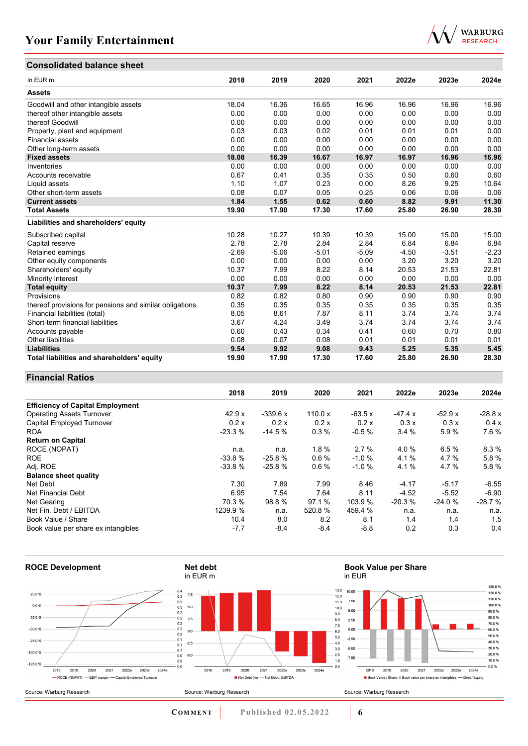

# **Consolidated balance sheet**

| In EUR <sub>m</sub>                                     | 2018    | 2019    | 2020    | 2021    | 2022e   | 2023e   | 2024e   |
|---------------------------------------------------------|---------|---------|---------|---------|---------|---------|---------|
| <b>Assets</b>                                           |         |         |         |         |         |         |         |
| Goodwill and other intangible assets                    | 18.04   | 16.36   | 16.65   | 16.96   | 16.96   | 16.96   | 16.96   |
| thereof other intangible assets                         | 0.00    | 0.00    | 0.00    | 0.00    | 0.00    | 0.00    | 0.00    |
| thereof Goodwill                                        | 0.00    | 0.00    | 0.00    | 0.00    | 0.00    | 0.00    | 0.00    |
| Property, plant and equipment                           | 0.03    | 0.03    | 0.02    | 0.01    | 0.01    | 0.01    | 0.00    |
| <b>Financial assets</b>                                 | 0.00    | 0.00    | 0.00    | 0.00    | 0.00    | 0.00    | 0.00    |
| Other long-term assets                                  | 0.00    | 0.00    | 0.00    | 0.00    | 0.00    | 0.00    | 0.00    |
| <b>Fixed assets</b>                                     | 18.08   | 16.39   | 16.67   | 16.97   | 16.97   | 16.96   | 16.96   |
| Inventories                                             | 0.00    | 0.00    | 0.00    | 0.00    | 0.00    | 0.00    | 0.00    |
| Accounts receivable                                     | 0.67    | 0.41    | 0.35    | 0.35    | 0.50    | 0.60    | 0.60    |
| Liquid assets                                           | 1.10    | 1.07    | 0.23    | 0.00    | 8.26    | 9.25    | 10.64   |
| Other short-term assets                                 | 0.08    | 0.07    | 0.05    | 0.25    | 0.06    | 0.06    | 0.06    |
| <b>Current assets</b>                                   | 1.84    | 1.55    | 0.62    | 0.60    | 8.82    | 9.91    | 11.30   |
| <b>Total Assets</b>                                     | 19.90   | 17.90   | 17.30   | 17.60   | 25.80   | 26.90   | 28.30   |
| Liabilities and shareholders' equity                    |         |         |         |         |         |         |         |
| Subscribed capital                                      | 10.28   | 10.27   | 10.39   | 10.39   | 15.00   | 15.00   | 15.00   |
| Capital reserve                                         | 2.78    | 2.78    | 2.84    | 2.84    | 6.84    | 6.84    | 6.84    |
| Retained earnings                                       | $-2.69$ | $-5.06$ | $-5.01$ | $-5.09$ | $-4.50$ | $-3.51$ | $-2.23$ |
| Other equity components                                 | 0.00    | 0.00    | 0.00    | 0.00    | 3.20    | 3.20    | 3.20    |
| Shareholders' equity                                    | 10.37   | 7.99    | 8.22    | 8.14    | 20.53   | 21.53   | 22.81   |
| Minority interest                                       | 0.00    | 0.00    | 0.00    | 0.00    | 0.00    | 0.00    | 0.00    |
| <b>Total equity</b>                                     | 10.37   | 7.99    | 8.22    | 8.14    | 20.53   | 21.53   | 22.81   |
| Provisions                                              | 0.82    | 0.82    | 0.80    | 0.90    | 0.90    | 0.90    | 0.90    |
| thereof provisions for pensions and similar obligations | 0.35    | 0.35    | 0.35    | 0.35    | 0.35    | 0.35    | 0.35    |
| Financial liabilities (total)                           | 8.05    | 8.61    | 7.87    | 8.11    | 3.74    | 3.74    | 3.74    |
| Short-term financial liabilities                        | 3.67    | 4.24    | 3.49    | 3.74    | 3.74    | 3.74    | 3.74    |
| Accounts payable                                        | 0.60    | 0.43    | 0.34    | 0.41    | 0.60    | 0.70    | 0.80    |
| Other liabilities                                       | 0.08    | 0.07    | 0.08    | 0.01    | 0.01    | 0.01    | 0.01    |
| <b>Liabilities</b>                                      | 9.54    | 9.92    | 9.08    | 9.43    | 5.25    | 5.35    | 5.45    |
| Total liabilities and shareholders' equity              | 19.90   | 17.90   | 17.30   | 17.60   | 25.80   | 26.90   | 28.30   |

#### **Financial Ratios**

|                                         | 2018     | 2019      | 2020      | 2021     | 2022e    | 2023e    | 2024e     |
|-----------------------------------------|----------|-----------|-----------|----------|----------|----------|-----------|
| <b>Efficiency of Capital Employment</b> |          |           |           |          |          |          |           |
| <b>Operating Assets Turnover</b>        | 42.9 x   | $-339.6x$ | 110.0 $x$ | $-63.5x$ | $-47.4x$ | $-52.9x$ | $-28.8 x$ |
| Capital Employed Turnover               | 0.2 x    | 0.2x      | 0.2x      | 0.2x     | 0.3x     | 0.3x     | 0.4 x     |
| <b>ROA</b>                              | $-23.3%$ | $-14.5%$  | 0.3%      | $-0.5%$  | 3.4%     | 5.9%     | 7.6%      |
| <b>Return on Capital</b>                |          |           |           |          |          |          |           |
| ROCE (NOPAT)                            | n.a.     | n.a.      | 1.8%      | 2.7%     | 4.0%     | 6.5%     | 8.3%      |
| <b>ROE</b>                              | $-33.8%$ | $-25.8%$  | 0.6%      | $-1.0%$  | 4.1%     | 4.7%     | 5.8%      |
| Adj. ROE                                | $-33.8%$ | $-25.8%$  | 0.6%      | $-1.0%$  | 4.1%     | 4.7%     | 5.8%      |
| <b>Balance sheet quality</b>            |          |           |           |          |          |          |           |
| Net Debt                                | 7.30     | 7.89      | 7.99      | 8.46     | $-4.17$  | $-5.17$  | $-6.55$   |
| Net Financial Debt                      | 6.95     | 7.54      | 7.64      | 8.11     | $-4.52$  | $-5.52$  | $-6.90$   |
| Net Gearing                             | 70.3 %   | 98.8%     | 97.1 %    | 103.9%   | $-20.3%$ | $-24.0%$ | $-28.7%$  |
| Net Fin. Debt / EBITDA                  | 1239.9%  | n.a.      | 520.8%    | 459.4 %  | n.a.     | n.a.     | n.a.      |
| Book Value / Share                      | 10.4     | 8.0       | 8.2       | 8.1      | 1.4      | 1.4      | 1.5       |
| Book value per share ex intangibles     | $-7.7$   | $-8.4$    | $-8.4$    | $-8.8$   | 0.2      | 0.3      | 0.4       |



**COMMENT** Published 02.05.2022 **6**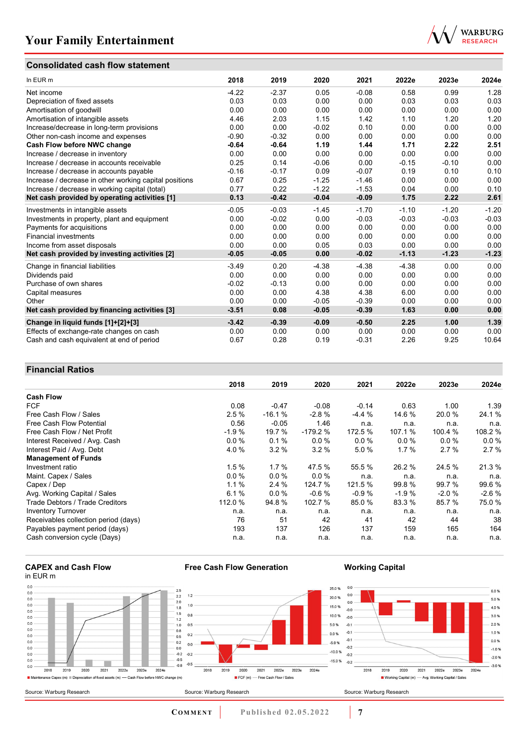### **Consolidated cash flow statement**



| In EUR m                                               | 2018    | 2019    | 2020    | 2021    | 2022e   | 2023e   | 2024e   |
|--------------------------------------------------------|---------|---------|---------|---------|---------|---------|---------|
| Net income                                             | $-4.22$ | $-2.37$ | 0.05    | $-0.08$ | 0.58    | 0.99    | 1.28    |
| Depreciation of fixed assets                           | 0.03    | 0.03    | 0.00    | 0.00    | 0.03    | 0.03    | 0.03    |
| Amortisation of goodwill                               | 0.00    | 0.00    | 0.00    | 0.00    | 0.00    | 0.00    | 0.00    |
| Amortisation of intangible assets                      | 4.46    | 2.03    | 1.15    | 1.42    | 1.10    | 1.20    | 1.20    |
| Increase/decrease in long-term provisions              | 0.00    | 0.00    | $-0.02$ | 0.10    | 0.00    | 0.00    | 0.00    |
| Other non-cash income and expenses                     | $-0.90$ | $-0.32$ | 0.00    | 0.00    | 0.00    | 0.00    | 0.00    |
| Cash Flow before NWC change                            | $-0.64$ | $-0.64$ | 1.19    | 1.44    | 1.71    | 2.22    | 2.51    |
| Increase / decrease in inventory                       | 0.00    | 0.00    | 0.00    | 0.00    | 0.00    | 0.00    | 0.00    |
| Increase / decrease in accounts receivable             | 0.25    | 0.14    | $-0.06$ | 0.00    | $-0.15$ | $-0.10$ | 0.00    |
| Increase / decrease in accounts payable                | $-0.16$ | $-0.17$ | 0.09    | $-0.07$ | 0.19    | 0.10    | 0.10    |
| Increase / decrease in other working capital positions | 0.67    | 0.25    | $-1.25$ | $-1.46$ | 0.00    | 0.00    | 0.00    |
| Increase / decrease in working capital (total)         | 0.77    | 0.22    | $-1.22$ | $-1.53$ | 0.04    | 0.00    | 0.10    |
| Net cash provided by operating activities [1]          | 0.13    | $-0.42$ | $-0.04$ | $-0.09$ | 1.75    | 2.22    | 2.61    |
| Investments in intangible assets                       | $-0.05$ | $-0.03$ | $-1.45$ | $-1.70$ | $-1.10$ | $-1.20$ | $-1.20$ |
| Investments in property, plant and equipment           | 0.00    | $-0.02$ | 0.00    | $-0.03$ | $-0.03$ | $-0.03$ | $-0.03$ |
| Payments for acquisitions                              | 0.00    | 0.00    | 0.00    | 0.00    | 0.00    | 0.00    | 0.00    |
| <b>Financial investments</b>                           | 0.00    | 0.00    | 0.00    | 0.00    | 0.00    | 0.00    | 0.00    |
| Income from asset disposals                            | 0.00    | 0.00    | 0.05    | 0.03    | 0.00    | 0.00    | 0.00    |
| Net cash provided by investing activities [2]          | $-0.05$ | $-0.05$ | 0.00    | $-0.02$ | $-1.13$ | $-1.23$ | $-1.23$ |
| Change in financial liabilities                        | $-3.49$ | 0.20    | $-4.38$ | $-4.38$ | $-4.38$ | 0.00    | 0.00    |
| Dividends paid                                         | 0.00    | 0.00    | 0.00    | 0.00    | 0.00    | 0.00    | 0.00    |
| Purchase of own shares                                 | $-0.02$ | $-0.13$ | 0.00    | 0.00    | 0.00    | 0.00    | 0.00    |
| Capital measures                                       | 0.00    | 0.00    | 4.38    | 4.38    | 6.00    | 0.00    | 0.00    |
| Other                                                  | 0.00    | 0.00    | $-0.05$ | $-0.39$ | 0.00    | 0.00    | 0.00    |
| Net cash provided by financing activities [3]          | $-3.51$ | 0.08    | $-0.05$ | $-0.39$ | 1.63    | 0.00    | 0.00    |
| Change in liquid funds [1]+[2]+[3]                     | $-3.42$ | $-0.39$ | $-0.09$ | $-0.50$ | 2.25    | 1.00    | 1.39    |
| Effects of exchange-rate changes on cash               | 0.00    | 0.00    | 0.00    | 0.00    | 0.00    | 0.00    | 0.00    |
| Cash and cash equivalent at end of period              | 0.67    | 0.28    | 0.19    | $-0.31$ | 2.26    | 9.25    | 10.64   |

### **Financial Ratios**

| T THANGH INANO                       |         |          |           |         |          |         |         |
|--------------------------------------|---------|----------|-----------|---------|----------|---------|---------|
|                                      | 2018    | 2019     | 2020      | 2021    | 2022e    | 2023e   | 2024e   |
| <b>Cash Flow</b>                     |         |          |           |         |          |         |         |
| <b>FCF</b>                           | 0.08    | $-0.47$  | $-0.08$   | $-0.14$ | 0.63     | 1.00    | 1.39    |
| Free Cash Flow / Sales               | 2.5%    | $-16.1%$ | $-2.8%$   | $-4.4%$ | 14.6 %   | 20.0 %  | 24.1 %  |
| Free Cash Flow Potential             | 0.56    | $-0.05$  | 1.46      | n.a.    | n.a.     | n.a.    | n.a.    |
| Free Cash Flow / Net Profit          | $-1.9%$ | 19.7 %   | $-179.2%$ | 172.5 % | 107.1 %  | 100.4 % | 108.2 % |
| Interest Received / Avg. Cash        | $0.0\%$ | 0.1%     | $0.0\%$   | $0.0\%$ | $0.0 \%$ | $0.0\%$ | $0.0\%$ |
| Interest Paid / Avg. Debt            | 4.0%    | 3.2%     | 3.2%      | 5.0%    | 1.7%     | 2.7%    | 2.7%    |
| <b>Management of Funds</b>           |         |          |           |         |          |         |         |
| Investment ratio                     | 1.5%    | 1.7%     | 47.5 %    | 55.5 %  | 26.2 %   | 24.5 %  | 21.3 %  |
| Maint. Capex / Sales                 | 0.0%    | $0.0\%$  | $0.0\%$   | n.a.    | n.a.     | n.a.    | n.a.    |
| Capex / Dep                          | 1.1%    | 2.4 %    | 124.7 %   | 121.5 % | 99.8 %   | 99.7 %  | 99.6 %  |
| Avg. Working Capital / Sales         | 6.1%    | 0.0%     | $-0.6%$   | $-0.9%$ | $-1.9%$  | $-2.0%$ | $-2.6%$ |
| Trade Debtors / Trade Creditors      | 112.0 % | 94.8%    | 102.7 %   | 85.0 %  | 83.3 %   | 85.7 %  | 75.0%   |
| <b>Inventory Turnover</b>            | n.a.    | n.a.     | n.a.      | n.a.    | n.a.     | n.a.    | n.a.    |
| Receivables collection period (days) | 76      | 51       | 42        | 41      | 42       | 44      | 38      |
| Payables payment period (days)       | 193     | 137      | 126       | 137     | 159      | 165     | 164     |
| Cash conversion cycle (Days)         | n.a.    | n.a.     | n.a.      | n.a.    | n.a.     | n.a.    | n.a.    |

# **CAPEX and Cash Flow**



**Free Cash Flow Generation**

**COMMENT Published 02.05.2022 7** 

**Working Capital**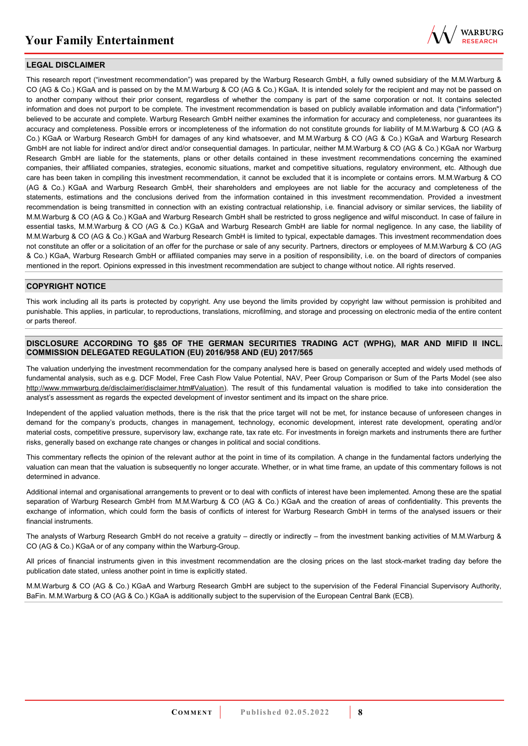

#### **LEGAL DISCLAIMER**

This research report ("investment recommendation") was prepared by the Warburg Research GmbH, a fully owned subsidiary of the M.M.Warburg & CO (AG & Co.) KGaA and is passed on by the M.M.Warburg & CO (AG & Co.) KGaA. It is intended solely for the recipient and may not be passed on to another company without their prior consent, regardless of whether the company is part of the same corporation or not. It contains selected information and does not purport to be complete. The investment recommendation is based on publicly available information and data ("information") believed to be accurate and complete. Warburg Research GmbH neither examines the information for accuracy and completeness, nor guarantees its accuracy and completeness. Possible errors or incompleteness of the information do not constitute grounds for liability of M.M.Warburg & CO (AG & Co.) KGaA or Warburg Research GmbH for damages of any kind whatsoever, and M.M.Warburg & CO (AG & Co.) KGaA and Warburg Research GmbH are not liable for indirect and/or direct and/or consequential damages. In particular, neither M.M.Warburg & CO (AG & Co.) KGaA nor Warburg Research GmbH are liable for the statements, plans or other details contained in these investment recommendations concerning the examined companies, their affiliated companies, strategies, economic situations, market and competitive situations, regulatory environment, etc. Although due care has been taken in compiling this investment recommendation, it cannot be excluded that it is incomplete or contains errors. M.M.Warburg & CO (AG & Co.) KGaA and Warburg Research GmbH, their shareholders and employees are not liable for the accuracy and completeness of the statements, estimations and the conclusions derived from the information contained in this investment recommendation. Provided a investment recommendation is being transmitted in connection with an existing contractual relationship, i.e. financial advisory or similar services, the liability of M.M.Warburg & CO (AG & Co.) KGaA and Warburg Research GmbH shall be restricted to gross negligence and wilful misconduct. In case of failure in essential tasks, M.M.Warburg & CO (AG & Co.) KGaA and Warburg Research GmbH are liable for normal negligence. In any case, the liability of M.M.Warburg & CO (AG & Co.) KGaA and Warburg Research GmbH is limited to typical, expectable damages. This investment recommendation does not constitute an offer or a solicitation of an offer for the purchase or sale of any security. Partners, directors or employees of M.M.Warburg & CO (AG & Co.) KGaA, Warburg Research GmbH or affiliated companies may serve in a position of responsibility, i.e. on the board of directors of companies mentioned in the report. Opinions expressed in this investment recommendation are subject to change without notice. All rights reserved.

#### **COPYRIGHT NOTICE**

This work including all its parts is protected by copyright. Any use beyond the limits provided by copyright law without permission is prohibited and punishable. This applies, in particular, to reproductions, translations, microfilming, and storage and processing on electronic media of the entire content or parts thereof.

#### **DISCLOSURE ACCORDING TO §85 OF THE GERMAN SECURITIES TRADING ACT (WPHG), MAR AND MIFID II INCL. COMMISSION DELEGATED REGULATION (EU) 2016/958 AND (EU) 2017/565**

The valuation underlying the investment recommendation for the company analysed here is based on generally accepted and widely used methods of fundamental analysis, such as e.g. DCF Model, Free Cash Flow Value Potential, NAV, Peer Group Comparison or Sum of the Parts Model (see also [http://www.mmwarburg.de/disclaimer/disclaimer.htm#Valuation\)](http://www.mmwarburg.de/disclaimer/disclaimer.htm#Valuation). The result of this fundamental valuation is modified to take into consideration the analyst's assessment as regards the expected development of investor sentiment and its impact on the share price.

Independent of the applied valuation methods, there is the risk that the price target will not be met, for instance because of unforeseen changes in demand for the company's products, changes in management, technology, economic development, interest rate development, operating and/or material costs, competitive pressure, supervisory law, exchange rate, tax rate etc. For investments in foreign markets and instruments there are further risks, generally based on exchange rate changes or changes in political and social conditions.

This commentary reflects the opinion of the relevant author at the point in time of its compilation. A change in the fundamental factors underlying the valuation can mean that the valuation is subsequently no longer accurate. Whether, or in what time frame, an update of this commentary follows is not determined in advance.

Additional internal and organisational arrangements to prevent or to deal with conflicts of interest have been implemented. Among these are the spatial separation of Warburg Research GmbH from M.M.Warburg & CO (AG & Co.) KGaA and the creation of areas of confidentiality. This prevents the exchange of information, which could form the basis of conflicts of interest for Warburg Research GmbH in terms of the analysed issuers or their financial instruments.

The analysts of Warburg Research GmbH do not receive a gratuity – directly or indirectly – from the investment banking activities of M.M.Warburg & CO (AG & Co.) KGaA or of any company within the Warburg-Group.

All prices of financial instruments given in this investment recommendation are the closing prices on the last stock-market trading day before the publication date stated, unless another point in time is explicitly stated.

M.M.Warburg & CO (AG & Co.) KGaA and Warburg Research GmbH are subject to the supervision of the Federal Financial Supervisory Authority, BaFin. M.M.Warburg & CO (AG & Co.) KGaA is additionally subject to the supervision of the European Central Bank (ECB).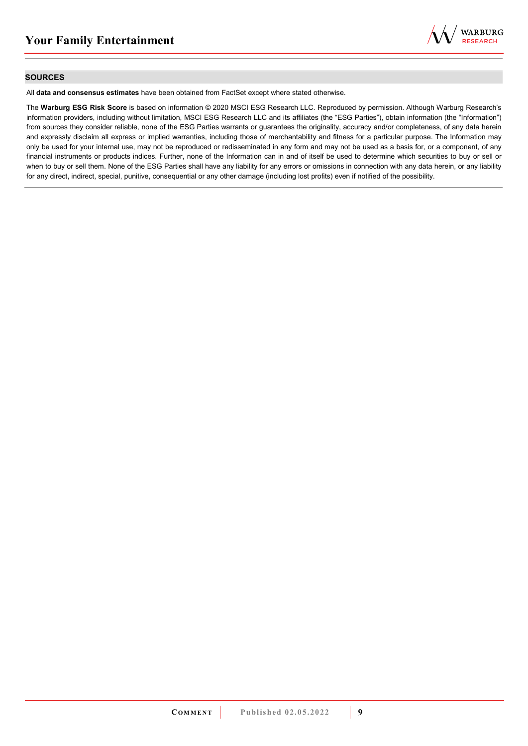

#### **SOURCES**

All **data and consensus estimates** have been obtained from FactSet except where stated otherwise.

The **Warburg ESG Risk Score** is based on information © 2020 MSCI ESG Research LLC. Reproduced by permission. Although Warburg Research's information providers, including without limitation, MSCI ESG Research LLC and its affiliates (the "ESG Parties"), obtain information (the "Information") from sources they consider reliable, none of the ESG Parties warrants or guarantees the originality, accuracy and/or completeness, of any data herein and expressly disclaim all express or implied warranties, including those of merchantability and fitness for a particular purpose. The Information may only be used for your internal use, may not be reproduced or redisseminated in any form and may not be used as a basis for, or a component, of any financial instruments or products indices. Further, none of the Information can in and of itself be used to determine which securities to buy or sell or when to buy or sell them. None of the ESG Parties shall have any liability for any errors or omissions in connection with any data herein, or any liability for any direct, indirect, special, punitive, consequential or any other damage (including lost profits) even if notified of the possibility.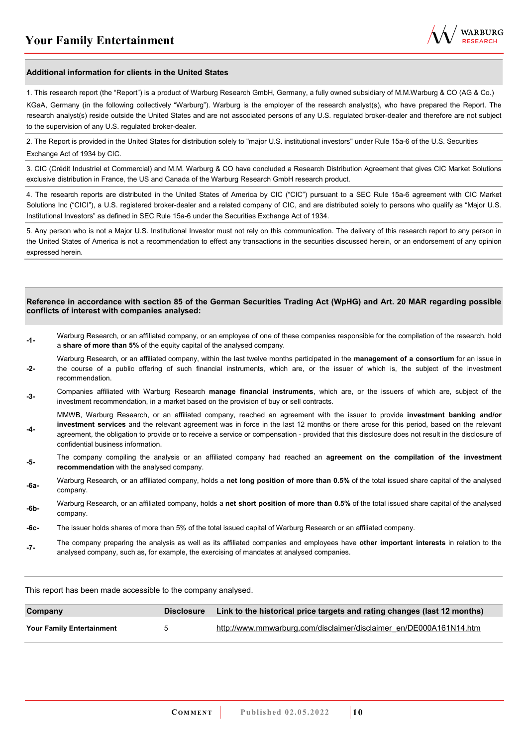

#### **Additional information for clients in the United States**

1. This research report (the "Report") is a product of Warburg Research GmbH, Germany, a fully owned subsidiary of M.M.Warburg & CO (AG & Co.)

KGaA, Germany (in the following collectively "Warburg"). Warburg is the employer of the research analyst(s), who have prepared the Report. The research analyst(s) reside outside the United States and are not associated persons of any U.S. regulated broker-dealer and therefore are not subject to the supervision of any U.S. regulated broker-dealer.

2. The Report is provided in the United States for distribution solely to "major U.S. institutional investors" under Rule 15a-6 of the U.S. Securities Exchange Act of 1934 by CIC.

3. CIC (Crédit Industriel et Commercial) and M.M. Warburg & CO have concluded a Research Distribution Agreement that gives CIC Market Solutions exclusive distribution in France, the US and Canada of the Warburg Research GmbH research product.

4. The research reports are distributed in the United States of America by CIC ("CIC") pursuant to a SEC Rule 15a-6 agreement with CIC Market Solutions Inc ("CICI"), a U.S. registered broker-dealer and a related company of CIC, and are distributed solely to persons who qualify as "Major U.S. Institutional Investors" as defined in SEC Rule 15a-6 under the Securities Exchange Act of 1934.

5. Any person who is not a Major U.S. Institutional Investor must not rely on this communication. The delivery of this research report to any person in the United States of America is not a recommendation to effect any transactions in the securities discussed herein, or an endorsement of any opinion expressed herein.

#### **Reference in accordance with section 85 of the German Securities Trading Act (WpHG) and Art. 20 MAR regarding possible conflicts of interest with companies analysed:**

- **-1-** Warburg Research, or an affiliated company, or an employee of one of these companies responsible for the compilation of the research, hold a **share of more than 5%** of the equity capital of the analysed company.
- **-2-**  Warburg Research, or an affiliated company, within the last twelve months participated in the **management of a consortium** for an issue in the course of a public offering of such financial instruments, which are, or the issuer of which is, the subject of the investment recommendation.
- **-3-** Companies affiliated with Warburg Research **manage financial instruments**, which are, or the issuers of which are, subject of the investment recommendation, in a market based on the provision of buy or sell contracts.

MMWB, Warburg Research, or an affiliated company, reached an agreement with the issuer to provide **investment banking and/or investment services** and the relevant agreement was in force in the last 12 months or there arose for this period, based on the relevant

- **-4**  agreement, the obligation to provide or to receive a service or compensation - provided that this disclosure does not result in the disclosure of confidential business information.
- **-5-** The company compiling the analysis or an affiliated company had reached an **agreement on the compilation of the investment recommendation** with the analysed company.
- **-6a-** Warburg Research, or an affiliated company, holds a **net long position of more than 0.5%** of the total issued share capital of the analysed company.
- **-6b-** Warburg Research, or an affiliated company, holds a **net short position of more than 0.5%** of the total issued share capital of the analysed company.
- **-6c-** The issuer holds shares of more than 5% of the total issued capital of Warburg Research or an affiliated company.
- **-7-** The company preparing the analysis as well as its affiliated companies and employees have **other important interests** in relation to the analysed company, such as, for example, the exercising of mandates at analysed companies.

This report has been made accessible to the company analysed.

| Company                          | <b>Disclosure</b> | Link to the historical price targets and rating changes (last 12 months) |
|----------------------------------|-------------------|--------------------------------------------------------------------------|
| <b>Your Family Entertainment</b> |                   | http://www.mmwarburg.com/disclaimer/disclaimer_en/DE000A161N14.htm       |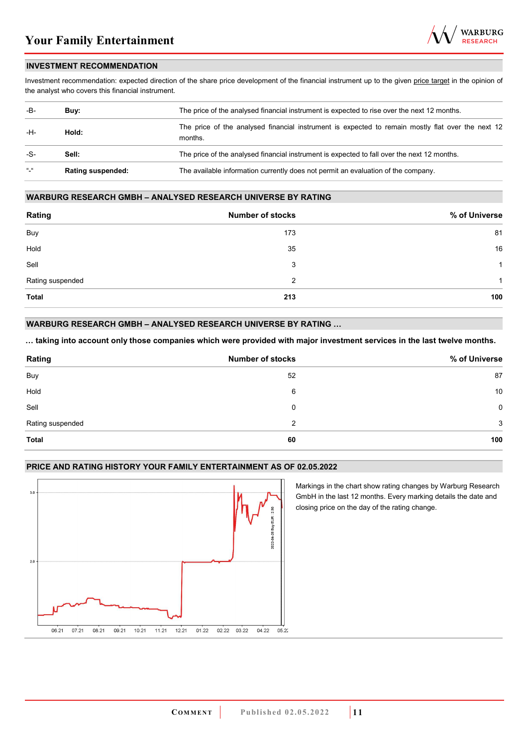

#### **INVESTMENT RECOMMENDATION**

Investment recommendation: expected direction of the share price development of the financial instrument up to the given price target in the opinion of the analyst who covers this financial instrument.

| -B-           | Buv:                     | The price of the analysed financial instrument is expected to rise over the next 12 months.                  |  |
|---------------|--------------------------|--------------------------------------------------------------------------------------------------------------|--|
| -H-           | Hold:                    | The price of the analysed financial instrument is expected to remain mostly flat over the next 12<br>months. |  |
| -S-           | Sell:                    | The price of the analysed financial instrument is expected to fall over the next 12 months.                  |  |
| $\frac{1}{2}$ | <b>Rating suspended:</b> | The available information currently does not permit an evaluation of the company.                            |  |

#### **WARBURG RESEARCH GMBH – ANALYSED RESEARCH UNIVERSE BY RATING**

| Rating           | <b>Number of stocks</b> | % of Universe |
|------------------|-------------------------|---------------|
| Buy              | 173                     | 81            |
| Hold             | 35                      | 16            |
| Sell             | 3                       | 1             |
| Rating suspended | 2                       | 1             |
| <b>Total</b>     | 213                     | 100           |

#### **WARBURG RESEARCH GMBH – ANALYSED RESEARCH UNIVERSE BY RATING …**

**… taking into account only those companies which were provided with major investment services in the last twelve months.** 

| Rating           | <b>Number of stocks</b> | % of Universe |
|------------------|-------------------------|---------------|
| Buy              | 52                      | 87            |
| Hold             | 6                       | 10            |
| Sell             | 0                       | 0             |
| Rating suspended | 2                       | 3             |
| <b>Total</b>     | 60                      | 100           |

#### **PRICE AND RATING HISTORY YOUR FAMILY ENTERTAINMENT AS OF 02.05.2022**



Markings in the chart show rating changes by Warburg Research GmbH in the last 12 months. Every marking details the date and closing price on the day of the rating change.